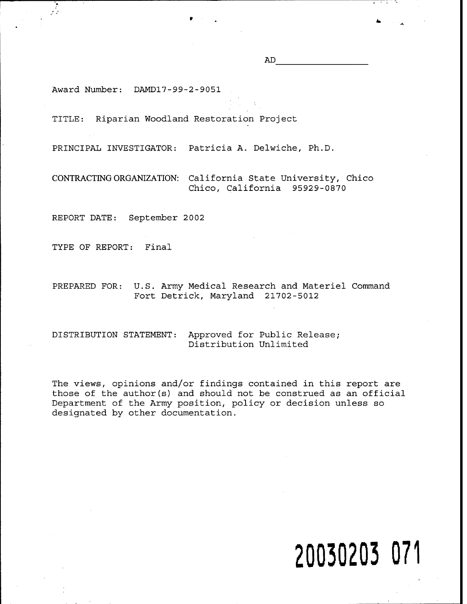Award Number: DAMD17-99-2-9051

TITLE: Riparian Woodland Restoration Project

PRINCIPAL INVESTIGATOR: Patricia A. Delwiche, Ph.D.

CONTRACTING ORGANIZATION: California State University, Chico Chico, California 95929-0870

REPORT DATE: September 2002

TYPE OF REPORT: Final

PREPARED FOR: U.S. Army Medical Research and Materiel Command Fort Detrick, Maryland 21702-5012

DISTRIBUTION STATEMENT: Approved for Public Release; Distribution Unlimited

The views, opinions and/or findings contained in this report are those of the author(s) and should not be construed as an official Department of the Army position, policy or decision unless so designated by other documentation.

# **20030203 071**

AD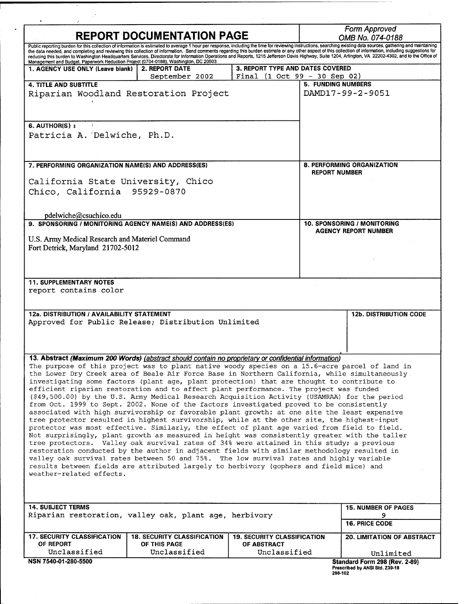| <b>REPORT DOCUMENTATION PAGE</b>                                                                                                                                                                                                                                                                                                                                                                                                                                                                                                                                                                                                                                                                   |                                                                                             |                                                                          | <b>Form Approved</b><br>OMB No. 074-0188                                                                                                                                                                                                                                                                                                                                                                                                                                                                                                                                                                                                   |  |  |
|----------------------------------------------------------------------------------------------------------------------------------------------------------------------------------------------------------------------------------------------------------------------------------------------------------------------------------------------------------------------------------------------------------------------------------------------------------------------------------------------------------------------------------------------------------------------------------------------------------------------------------------------------------------------------------------------------|---------------------------------------------------------------------------------------------|--------------------------------------------------------------------------|--------------------------------------------------------------------------------------------------------------------------------------------------------------------------------------------------------------------------------------------------------------------------------------------------------------------------------------------------------------------------------------------------------------------------------------------------------------------------------------------------------------------------------------------------------------------------------------------------------------------------------------------|--|--|
|                                                                                                                                                                                                                                                                                                                                                                                                                                                                                                                                                                                                                                                                                                    |                                                                                             |                                                                          | Public reporting burden for this collection of information is estimated to average 1 hour per response, including the time for reviewing instructions, searching existing data sources, gathering and maintaining<br>the data needed, and completing and reviewing this collection of information. Send comments regarding this burden estimate or any other aspect of this collection of information, including suggestions for<br>reducing this burden to Washington Headquarters Services, Directorate for Information Operations and Reports, 1215 Jefferson Davis Highway, Suite 1204, Arlington, VA 22202-4302, and to the Office of |  |  |
| Management and Budget, Paperwork Reduction Project (0704-0188), Washington, DC 20503<br>1. AGENCY USE ONLY (Leave blank)   2. REPORT DATE                                                                                                                                                                                                                                                                                                                                                                                                                                                                                                                                                          |                                                                                             | 3. REPORT TYPE AND DATES COVERED                                         |                                                                                                                                                                                                                                                                                                                                                                                                                                                                                                                                                                                                                                            |  |  |
|                                                                                                                                                                                                                                                                                                                                                                                                                                                                                                                                                                                                                                                                                                    | September 2002                                                                              | Final $(1 \text{ Oct } 99 - 30 \text{ Sep } 02)$                         |                                                                                                                                                                                                                                                                                                                                                                                                                                                                                                                                                                                                                                            |  |  |
| <b>4. TITLE AND SUBTITLE</b>                                                                                                                                                                                                                                                                                                                                                                                                                                                                                                                                                                                                                                                                       |                                                                                             |                                                                          | <b>5. FUNDING NUMBERS</b>                                                                                                                                                                                                                                                                                                                                                                                                                                                                                                                                                                                                                  |  |  |
| Riparian Woodland Restoration Project                                                                                                                                                                                                                                                                                                                                                                                                                                                                                                                                                                                                                                                              |                                                                                             |                                                                          | DAMD17-99-2-9051                                                                                                                                                                                                                                                                                                                                                                                                                                                                                                                                                                                                                           |  |  |
| 6. AUTHOR(S):<br>Patricia A. Delwiche, Ph.D.                                                                                                                                                                                                                                                                                                                                                                                                                                                                                                                                                                                                                                                       |                                                                                             |                                                                          |                                                                                                                                                                                                                                                                                                                                                                                                                                                                                                                                                                                                                                            |  |  |
| 7. PERFORMING ORGANIZATION NAME(S) AND ADDRESS(ES)                                                                                                                                                                                                                                                                                                                                                                                                                                                                                                                                                                                                                                                 |                                                                                             |                                                                          | 8. PERFORMING ORGANIZATION                                                                                                                                                                                                                                                                                                                                                                                                                                                                                                                                                                                                                 |  |  |
| California State University, Chico<br>Chico, California 95929-0870                                                                                                                                                                                                                                                                                                                                                                                                                                                                                                                                                                                                                                 |                                                                                             |                                                                          | <b>REPORT NUMBER</b>                                                                                                                                                                                                                                                                                                                                                                                                                                                                                                                                                                                                                       |  |  |
| pdelwiche@csuchico.edu<br>9. SPONSORING / MONITORING AGENCY NAME(S) AND ADDRESS(ES)                                                                                                                                                                                                                                                                                                                                                                                                                                                                                                                                                                                                                |                                                                                             |                                                                          | <b>10. SPONSORING / MONITORING</b>                                                                                                                                                                                                                                                                                                                                                                                                                                                                                                                                                                                                         |  |  |
| U.S. Army Medical Research and Materiel Command<br>Fort Detrick, Maryland 21702-5012                                                                                                                                                                                                                                                                                                                                                                                                                                                                                                                                                                                                               |                                                                                             | AGENCY REPORT NUMBER                                                     |                                                                                                                                                                                                                                                                                                                                                                                                                                                                                                                                                                                                                                            |  |  |
| report contains color<br>12a. DISTRIBUTION / AVAILABILITY STATEMENT<br>Approved for Public Release; Distribution Unlimited                                                                                                                                                                                                                                                                                                                                                                                                                                                                                                                                                                         |                                                                                             |                                                                          | <b>12b. DISTRIBUTION CODE</b>                                                                                                                                                                                                                                                                                                                                                                                                                                                                                                                                                                                                              |  |  |
| 13. Abstract (Maximum 200 Words) (abstract should contain no proprietary or confidential information)<br>The purpose of this project was to plant native woody species on a 15.6-acre parcel of land in<br>the Lower Dry Creek area of Beale Air Force Base in Northern California, while simultaneously                                                                                                                                                                                                                                                                                                                                                                                           |                                                                                             |                                                                          |                                                                                                                                                                                                                                                                                                                                                                                                                                                                                                                                                                                                                                            |  |  |
| investigating some factors (plant age, plant protection) that are thought to contribute to<br>efficient riparian restoration and to affect plant performance. The project was funded<br>(\$49,500.00) by the U.S. Army Medical Research Acquisition Activity (USAMRAA) for the period<br>from Oct. 1999 to Sept. 2002. None of the factors investigated proved to be consistently<br>associated with high survivorship or favorable plant growth: at one site the least expensive                                                                                                                                                                                                                  | tree protector resulted in highest survivorship, while at the other site, the highest-input |                                                                          |                                                                                                                                                                                                                                                                                                                                                                                                                                                                                                                                                                                                                                            |  |  |
|                                                                                                                                                                                                                                                                                                                                                                                                                                                                                                                                                                                                                                                                                                    |                                                                                             |                                                                          |                                                                                                                                                                                                                                                                                                                                                                                                                                                                                                                                                                                                                                            |  |  |
| protector was most effective. Similarly, the effect of plant age varied from field to field.<br>Not surprisingly, plant growth as measured in height was consistently greater with the taller<br>tree protectors. Valley oak survival rates of 34% were attained in this study; a previous<br>restoration conducted by the author in adjacent fields with similar methodology resulted in<br>valley oak survival rates between 50 and 75%. The low survival rates and highly variable<br>results between fields are attributed largely to herbivory (gophers and field mice) and<br>weather-related effects.<br><b>14. SUBJECT TERMS</b><br>Riparian restoration, valley oak, plant age, herbivory |                                                                                             |                                                                          | <b>15. NUMBER OF PAGES</b><br>9                                                                                                                                                                                                                                                                                                                                                                                                                                                                                                                                                                                                            |  |  |
|                                                                                                                                                                                                                                                                                                                                                                                                                                                                                                                                                                                                                                                                                                    |                                                                                             |                                                                          | <b>16. PRICE CODE</b>                                                                                                                                                                                                                                                                                                                                                                                                                                                                                                                                                                                                                      |  |  |
| <b>17. SECURITY CLASSIFICATION</b><br>OF REPORT<br>Unclassified                                                                                                                                                                                                                                                                                                                                                                                                                                                                                                                                                                                                                                    | <b>18. SECURITY CLASSIFICATION</b><br>OF THIS PAGE<br>Unclassified                          | <b>19. SECURITY CLASSIFICATION</b><br><b>OF ABSTRACT</b><br>Unclassified | <b>20. LIMITATION OF ABSTRACT</b><br>Unlimited                                                                                                                                                                                                                                                                                                                                                                                                                                                                                                                                                                                             |  |  |

 $\hat{\mathcal{P}}$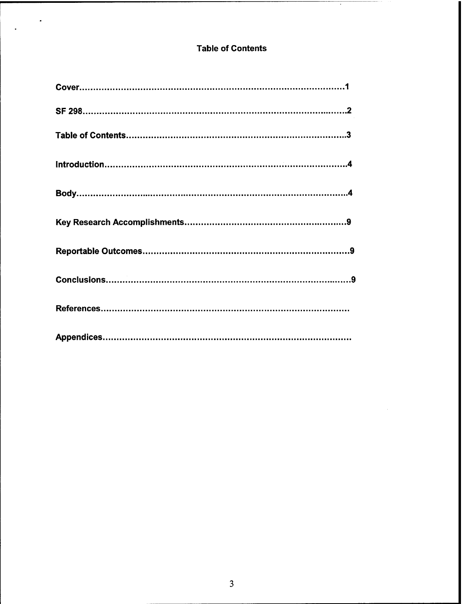# **Table of Contents**

 $\ddot{\phantom{a}}$ 

 $\ddot{\phantom{a}}$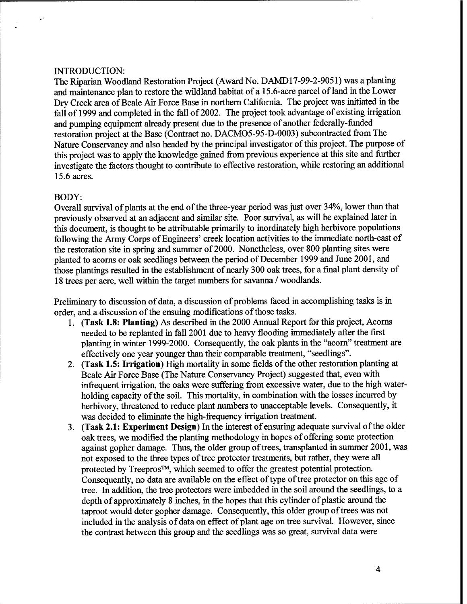#### INTRODUCTION:

The Riparian Woodland Restoration Project (Award No. DAMD17-99-2-9051) was a planting and maintenance plan to restore the wildland habitat of a 15.6-acre parcel of land in the Lower Dry Creek area of Beale Air Force Base in northern California. The project was initiated in the fall of 1999 and completed in the fall of 2002. The project took advantage of existing irrigation and pumping equipment already present due to the presence of another federally-funded restoration project at the Base (Contract no. DACMO5-95-D-0003) subcontracted from The Nature Conservancy and also headed by the principal investigator of this project. The purpose of this project was to apply the knowledge gained from previous experience at this site and further investigate the factors thought to contribute to effective restoration, while restoring an additional 15.6 acres.

#### BODY:

Overall survival of plants at the end of the three-year period was just over 34%, lower than that previously observed at an adjacent and similar site. Poor survival, as will be explained later in this document, is thought to be attributable primarily to inordinately high herbivore populations following the Army Corps of Engineers' creek location activities to the immediate north-east of the restoration site in spring and summer of 2000. Nonetheless, over 800 planting sites were planted to acorns or oak seedlings between the period of December 1999 and June 2001, and those plantings resulted in the establishment of nearly 300 oak trees, for a final plant density of 18 trees per acre, well within the target numbers for savanna / woodlands.

Preliminary to discussion of data, a discussion of problems faced in accomplishing tasks is in order, and a discussion of the ensuing modifications of those tasks.

- 1. **(Task 1.8: Planting)** As described in the 2000 Annual Report for this project, Acorns needed to be replanted in fall 2001 due to heavy flooding immediately after the first planting in winter 1999-2000. Consequently, the oak plants in the "acorn" treatment are effectively one year younger than their comparable treatment, "seedlings".
- 2. **(Task 1.5: Irrigation)** High mortality in some fields ofthe other restoration planting at Beale Air Force Base (The Nature Conservancy Project) suggested that, even with infrequent irrigation, the oaks were suffering from excessive water, due to the high waterholding capacity of the soil. This mortality, in combination with the losses incurred by herbivory, threatened to reduce plant numbers to unacceptable levels. Consequently, it was decided to eliminate the high-frequency irrigation treatment.
- 3. **(Task 2.1: Experiment Design)** In the interest of ensuring adequate survival ofthe older oak trees, we modified the planting methodology in hopes of offering some protection against gopher damage. Thus, the older group of trees, transplanted in summer 2001, was not exposed to the three types of tree protector treatments, but rather, they were all protected by Treepros<sup>TM</sup>, which seemed to offer the greatest potential protection. Consequently, no data are available on the effect of type of tree protector on this age of tree. In addition, the tree protectors were imbedded in the soil around the seedlings, to a depth of approximately 8 inches, in the hopes that this cylinder of plastic around the taproot would deter gopher damage. Consequently, this older group of trees was not included in the analysis of data on effect of plant age on tree survival. However, since the contrast between this group and the seedlings was so great, survival data were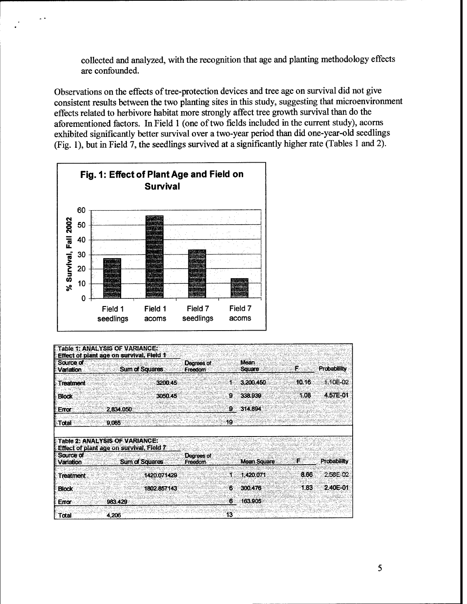collected and analyzed, with the recognition that age and planting methodology effects are confounded.

Observations on the effects of tree-protection devices and tree age on survival did not give consistent results between the two planting sites in this study, suggesting that microenvironment effects related to herbivore habitat more strongly affect tree growth survival than do the aforementioned factors. In Field 1 (one of two fields included in the current study), acorns exhibited significantly better survival over a two-year period than did one-year-old seedlings (Fig. 1), but in Field 7, the seedlings survived at a significantly higher rate (Tables <sup>1</sup> and 2).



|                        | Table 1: ANALYSIS OF VARIANCE.<br>Effect of plant age on survival. Field 1 |                        |              |                       |       |                    |
|------------------------|----------------------------------------------------------------------------|------------------------|--------------|-----------------------|-------|--------------------|
| Source of<br>Variation | Sum of Squares                                                             | Degrees of<br>Freedom  |              | <b>Mean</b><br>Square | F     | Probability        |
| <b>Treatment</b>       | 3200.45                                                                    |                        | $\mathbf{1}$ | 3.200.450             | 10.16 | 1.10E-02           |
| <b>Block</b>           | 3050.45                                                                    |                        | 9            | 338.939               | 1.08  | 4.57E-01           |
| Error                  | 2.834.050                                                                  |                        | 9            | 314.894               |       |                    |
| Total                  | 9.085                                                                      |                        | 19           |                       |       |                    |
|                        | <b>Table 2: ANALYSIS OF VARIANCE:</b>                                      |                        |              |                       |       |                    |
| Source of<br>Variation | <b>Effect of plant age on survival, Field 7</b><br>Sum of Squares          | Degrees of<br>Freedom- |              | <b>Mean Square</b>    | P.    | <b>Probability</b> |
| <b>Treatment</b>       | 1420.071429                                                                |                        | Ť            | 1.420.071             | 8.66  | 258E 02            |
| <b>Block</b>           | 1802.857143                                                                |                        | 6            | 300.476               | 1.83  | 2.40E-01           |
| Error                  | 983.429                                                                    |                        | 6            | 163.905               |       |                    |
| Total                  | 4.206                                                                      |                        | 13           |                       |       |                    |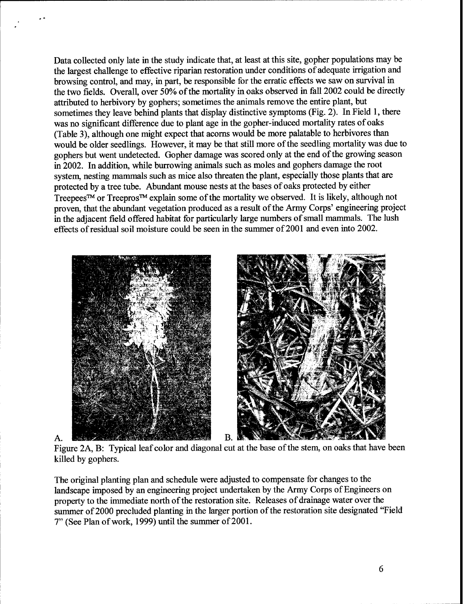Data collected only late in the study indicate that, at least at this site, gopher populations may be the largest challenge to effective riparian restoration under conditions of adequate irrigation and browsing control, and may, in part, be responsible for the erratic effects we saw on survival in the two fields. Overall, over 50% of the mortality in oaks observed in fall 2002 could be directly attributed to herbivory by gophers; sometimes the animals remove the entire plant, but sometimes they leave behind plants that display distinctive symptoms (Fig. 2). In Field 1, there was no significant difference due to plant age in the gopher-induced mortality rates ofoaks (Table 3), although one might expect that acorns would be more palatable to herbivores than would be older seedlings. However, it may be that still more of the seedling mortality was due to gophers but went undetected. Gopher damage was scored only at the end ofthe growing season in 2002. In addition, while burrowing animals such as moles and gophers damage the root system, nesting mammals such as mice also threaten the plant, especially those plants that are protected by a tree tube. Abundant mouse nests at the bases ofoaks protected by either Treepees<sup>TM</sup> or Treepros<sup>TM</sup> explain some of the mortality we observed. It is likely, although not proven, that the abundant vegetation produced as a result of the Army Corps' engineering project in the adjacent field offered habitat for particularly large numbers of small mammals. The lush effects of residual soil moisture could be seen in the summer of 2001 and even into 2002.



Figure 2A, B: Typical leaf color and diagonal cut at the base of the stem, on oaks that have been killed by gophers.

The original planting plan and schedule were adjusted to compensate for changes to the landscape imposed by an engineering project undertaken by the Army Corps of Engineers on property to the immediate north of the restoration site. Releases of drainage water over the summer of 2000 precluded planting in the larger portion of the restoration site designated "Field 7" (See Plan of work, 1999) until the summer of 2001.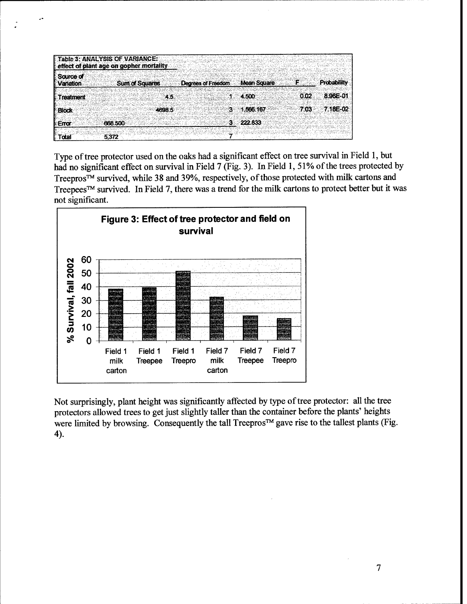|                        | Table 3: ANALYSIS OF VARIANCE:          |                       |        |                    |                    |      |                    |
|------------------------|-----------------------------------------|-----------------------|--------|--------------------|--------------------|------|--------------------|
|                        | effect of plant age on gopher mortality |                       |        |                    |                    |      |                    |
| Source of<br>Variation |                                         | <b>Sum of Squares</b> |        | Degrees of Freedom | <b>Mean Square</b> | F.   | <b>Probability</b> |
| <b>Treatment</b>       |                                         |                       | 4.5    |                    | 4.500              | 0.02 | 8.96E-01           |
| <b>Block</b>           |                                         |                       | 4698.5 | э.                 | 1.566.167          | 7.03 | 7 18E-02           |
| Error<br>Total         | 668.500<br>5.372                        |                       |        |                    | 222.833            |      |                    |

Type of tree protector used on the oaks had a significant effect on tree survival in Field 1, but had no significant effect on survival in Field 7 (Fig. 3). In Field 1, 51% of the trees protected by Treepros<sup>TM</sup> survived, while 38 and 39%, respectively, of those protected with milk cartons and Treepees<sup>TM</sup> survived. In Field 7, there was a trend for the milk cartons to protect better but it was not significant.



Not surprisingly, plant height was significantly affected by type of tree protector: all the tree protectors allowed trees to get just slightly taller than the container before the plants' heights were limited by browsing. Consequently the tall Treepros<sup>™</sup> gave rise to the tallest plants (Fig. 4).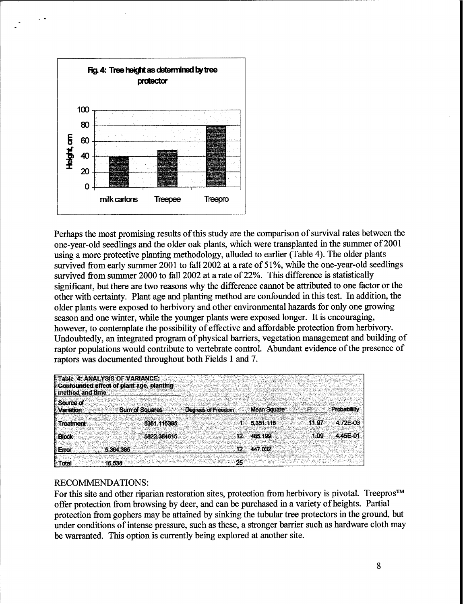

Perhaps the most promising results of this study are the comparison of survival rates between the one-year-old seedlings and the older oak plants, which were transplanted in the summer of2001 using a more protective planting methodology, alluded to earlier (Table 4). The older plants survived from early summer 2001 to fall 2002 at a rate of 51%, while the one-year-old seedlings survived from summer 2000 to fall 2002 at a rate of 22%. This difference is statistically significant, but there are two reasons why the difference cannot be attributed to one factor or the other with certainty. Plant age and planting method are confounded in this test. In addition, the older plants were exposed to herbivory and other environmental hazards for only one growing season and one winter, while the younger plants were exposed longer. It is encouraging, however, to contemplate the possibility of effective and affordable protection from herbivory. Undoubtedly, an integrated program of physical barriers, vegetation management and building of raptor populations would contribute to vertebrate control. Abundant evidence of the presence of raptors was documented throughout both Fields <sup>1</sup> and 7.

| Table 4: ANALYSIS OF VARIANCE:<br>Confounded effect of plant age, planting<br>method and time                         |                                             |                            |                     |
|-----------------------------------------------------------------------------------------------------------------------|---------------------------------------------|----------------------------|---------------------|
| Source of<br><b>Sum of Squares</b><br><b>Nariation</b>                                                                | Degrees of Freedom                          | <b>Mean Square</b><br>F.   | Probabililty        |
| <b>Treatment</b><br>5351.115385<br>5822.384615<br><b>Block</b><br><b>Error</b><br>5.364.385<br><b>Total</b><br>16.538 | đ×<br>12 485.199<br>447.032<br>$12 -$<br>25 | 11.97<br>5.351.115<br>1.09 | 4.72E-03<br>445E-01 |

### RECOMMENDATIONS:

For this site and other riparian restoration sites, protection from herbivory is pivotal. Treepros™ offer protection from browsing by deer, and can be purchased in a variety of heights. Partial protection from gophers may be attained by sinking the tubular tree protectors in the ground, but under conditions of intense pressure, such as these, a stronger barrier such as hardware cloth may be warranted. This option is currently being explored at another site.